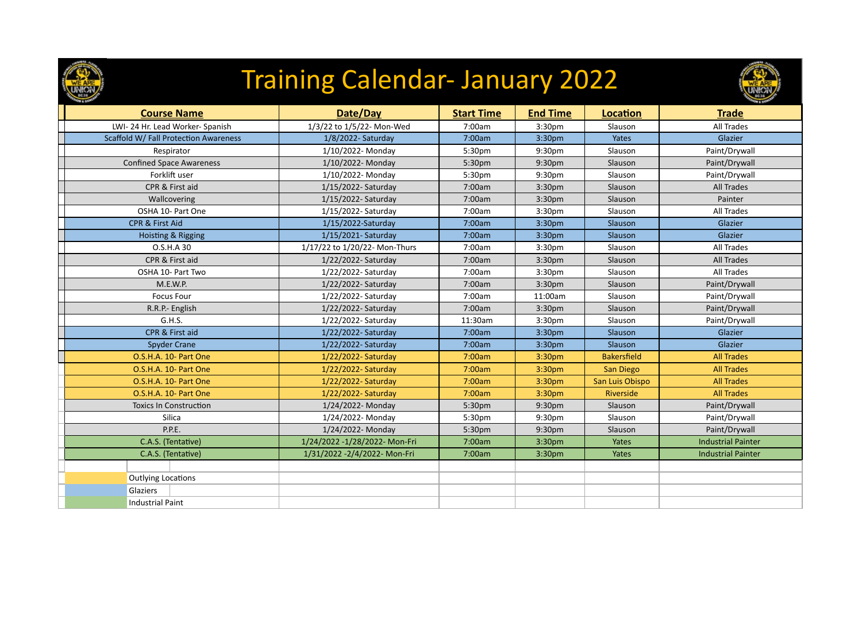

## Training Calendar- January 2022



| <b>Course Name</b>                    | Date/Day                       | <b>Start Time</b> | <b>End Time</b> | Location           | <b>Trade</b>              |
|---------------------------------------|--------------------------------|-------------------|-----------------|--------------------|---------------------------|
| LWI-24 Hr. Lead Worker-Spanish        | 1/3/22 to 1/5/22- Mon-Wed      | 7:00am            | 3:30pm          | Slauson            | <b>All Trades</b>         |
| Scaffold W/ Fall Protection Awareness | 1/8/2022- Saturday             | 7:00am            | 3:30pm          | Yates              | Glazier                   |
| Respirator                            | 1/10/2022- Monday              | 5:30pm            | 9:30pm          | Slauson            | Paint/Drywall             |
| <b>Confined Space Awareness</b>       | 1/10/2022- Monday              | 5:30pm            | 9:30pm          | Slauson            | Paint/Drywall             |
| Forklift user                         | 1/10/2022- Monday              | 5:30pm            | 9:30pm          | Slauson            | Paint/Drywall             |
| CPR & First aid                       | 1/15/2022- Saturday            | 7:00am            | 3:30pm          | Slauson            | All Trades                |
| Wallcovering                          | 1/15/2022- Saturday            | 7:00am            | 3:30pm          | Slauson            | Painter                   |
| OSHA 10- Part One                     | 1/15/2022- Saturday            | 7:00am            | 3:30pm          | Slauson            | <b>All Trades</b>         |
| CPR & First Aid                       | 1/15/2022-Saturday             | 7:00am            | 3:30pm          | Slauson            | Glazier                   |
| Hoisting & Rigging                    | 1/15/2021- Saturday            | 7:00am            | 3:30pm          | Slauson            | Glazier                   |
| O.S.H.A 30                            | 1/17/22 to 1/20/22- Mon-Thurs  | 7:00am            | 3:30pm          | Slauson            | All Trades                |
| CPR & First aid                       | 1/22/2022- Saturday            | 7:00am            | 3:30pm          | Slauson            | <b>All Trades</b>         |
| OSHA 10- Part Two                     | 1/22/2022- Saturday            | 7:00am            | 3:30pm          | Slauson            | All Trades                |
| M.E.W.P.                              | 1/22/2022- Saturday            | 7:00am            | 3:30pm          | Slauson            | Paint/Drywall             |
| <b>Focus Four</b>                     | 1/22/2022- Saturday            | 7:00am            | 11:00am         | Slauson            | Paint/Drywall             |
| R.R.P.- English                       | 1/22/2022- Saturday            | 7:00am            | 3:30pm          | Slauson            | Paint/Drywall             |
| G.H.S.                                | 1/22/2022- Saturday            | 11:30am           | 3:30pm          | Slauson            | Paint/Drywall             |
| CPR & First aid                       | 1/22/2022- Saturday            | 7:00am            | 3:30pm          | Slauson            | Glazier                   |
| <b>Spyder Crane</b>                   | 1/22/2022- Saturday            | 7:00am            | 3:30pm          | Slauson            | Glazier                   |
| O.S.H.A. 10- Part One                 | 1/22/2022- Saturday            | 7:00am            | 3:30pm          | <b>Bakersfield</b> | <b>All Trades</b>         |
| O.S.H.A. 10- Part One                 | 1/22/2022- Saturday            | 7:00am            | 3:30pm          | San Diego          | <b>All Trades</b>         |
| O.S.H.A. 10- Part One                 | 1/22/2022- Saturday            | 7:00am            | 3:30pm          | San Luis Obispo    | <b>All Trades</b>         |
| O.S.H.A. 10- Part One                 | 1/22/2022- Saturday            | 7:00am            | 3:30pm          | Riverside          | <b>All Trades</b>         |
| <b>Toxics In Construction</b>         | 1/24/2022- Monday              | 5:30pm            | 9:30pm          | Slauson            | Paint/Drywall             |
| Silica                                | 1/24/2022- Monday              | 5:30pm            | 9:30pm          | Slauson            | Paint/Drywall             |
| P.P.E.                                | 1/24/2022- Monday              | 5:30pm            | 9:30pm          | Slauson            | Paint/Drywall             |
| C.A.S. (Tentative)                    | 1/24/2022 -1/28/2022- Mon-Fri  | 7:00am            | 3:30pm          | Yates              | <b>Industrial Painter</b> |
| C.A.S. (Tentative)                    | 1/31/2022 - 2/4/2022 - Mon-Fri | 7:00am            | 3:30pm          | Yates              | <b>Industrial Painter</b> |
|                                       |                                |                   |                 |                    |                           |
| <b>Outlying Locations</b>             |                                |                   |                 |                    |                           |
| Glaziers                              |                                |                   |                 |                    |                           |
| <b>Industrial Paint</b>               |                                |                   |                 |                    |                           |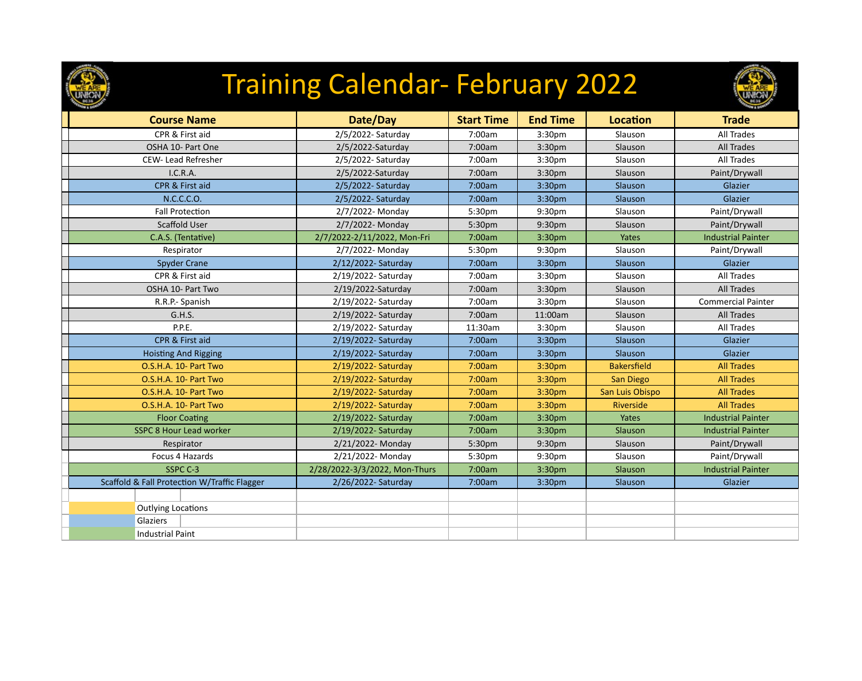

## Training Calendar- February 2022



| <b>Course Name</b>                           | Date/Day                      | <b>Start Time</b> | <b>End Time</b>    | <b>Location</b>    | <b>Trade</b>              |
|----------------------------------------------|-------------------------------|-------------------|--------------------|--------------------|---------------------------|
| CPR & First aid                              | 2/5/2022- Saturday            | 7:00am            | 3:30 <sub>pm</sub> | Slauson            | <b>All Trades</b>         |
| OSHA 10- Part One                            | 2/5/2022-Saturday             | 7:00am            | 3:30 <sub>pm</sub> | Slauson            | <b>All Trades</b>         |
| CEW- Lead Refresher                          | 2/5/2022- Saturday            | 7:00am            | 3:30 <sub>pm</sub> | Slauson            | <b>All Trades</b>         |
| I.C.R.A.                                     | 2/5/2022-Saturday             | 7:00am            | 3:30 <sub>pm</sub> | Slauson            | Paint/Drywall             |
| CPR & First aid                              | 2/5/2022- Saturday            | 7:00am            | 3:30pm             | Slauson            | Glazier                   |
| N.C.C.C.O.                                   | 2/5/2022- Saturday            | 7:00am            | 3:30pm             | Slauson            | Glazier                   |
| <b>Fall Protection</b>                       | 2/7/2022- Monday              | 5:30pm            | 9:30pm             | Slauson            | Paint/Drywall             |
| Scaffold User                                | 2/7/2022- Monday              | 5:30pm            | 9:30 <sub>pm</sub> | Slauson            | Paint/Drywall             |
| C.A.S. (Tentative)                           | 2/7/2022-2/11/2022, Mon-Fri   | 7:00am            | 3:30pm             | Yates              | <b>Industrial Painter</b> |
| Respirator                                   | 2/7/2022- Monday              | 5:30pm            | 9:30pm             | Slauson            | Paint/Drywall             |
| <b>Spyder Crane</b>                          | 2/12/2022- Saturday           | 7:00am            | 3:30 <sub>pm</sub> | Slauson            | Glazier                   |
| CPR & First aid                              | 2/19/2022- Saturday           | 7:00am            | 3:30 <sub>pm</sub> | Slauson            | All Trades                |
| OSHA 10- Part Two                            | 2/19/2022-Saturday            | 7:00am            | 3:30 <sub>pm</sub> | Slauson            | <b>All Trades</b>         |
| R.R.P.- Spanish                              | 2/19/2022- Saturday           | 7:00am            | 3:30pm             | Slauson            | <b>Commercial Painter</b> |
| G.H.S.                                       | 2/19/2022- Saturday           | 7:00am            | 11:00am            | Slauson            | <b>All Trades</b>         |
| P.P.E.                                       | 2/19/2022- Saturday           | 11:30am           | 3:30 <sub>pm</sub> | Slauson            | All Trades                |
| CPR & First aid                              | 2/19/2022- Saturday           | 7:00am            | 3:30pm             | Slauson            | Glazier                   |
| <b>Hoisting And Rigging</b>                  | 2/19/2022- Saturday           | 7:00am            | 3:30pm             | Slauson            | Glazier                   |
| O.S.H.A. 10- Part Two                        | 2/19/2022- Saturday           | 7:00am            | 3:30pm             | <b>Bakersfield</b> | <b>All Trades</b>         |
| O.S.H.A. 10- Part Two                        | 2/19/2022- Saturday           | 7:00am            | 3:30pm             | San Diego          | <b>All Trades</b>         |
| O.S.H.A. 10- Part Two                        | 2/19/2022- Saturday           | 7:00am            | 3:30 <sub>pm</sub> | San Luis Obispo    | <b>All Trades</b>         |
| O.S.H.A. 10- Part Two                        | 2/19/2022- Saturday           | 7:00am            | 3:30pm             | Riverside          | <b>All Trades</b>         |
| <b>Floor Coating</b>                         | 2/19/2022- Saturday           | 7:00am            | 3:30pm             | Yates              | <b>Industrial Painter</b> |
| <b>SSPC 8 Hour Lead worker</b>               | 2/19/2022- Saturday           | 7:00am            | 3:30pm             | Slauson            | <b>Industrial Painter</b> |
| Respirator                                   | 2/21/2022- Monday             | 5:30pm            | 9:30pm             | Slauson            | Paint/Drywall             |
| Focus 4 Hazards                              | 2/21/2022- Monday             | 5:30pm            | 9:30pm             | Slauson            | Paint/Drywall             |
| SSPC C-3                                     | 2/28/2022-3/3/2022, Mon-Thurs | 7:00am            | 3:30pm             | Slauson            | <b>Industrial Painter</b> |
| Scaffold & Fall Protection W/Traffic Flagger | 2/26/2022- Saturday           | 7:00am            | 3:30pm             | Slauson            | Glazier                   |
|                                              |                               |                   |                    |                    |                           |
| <b>Outlying Locations</b>                    |                               |                   |                    |                    |                           |
| Glaziers                                     |                               |                   |                    |                    |                           |
| <b>Industrial Paint</b>                      |                               |                   |                    |                    |                           |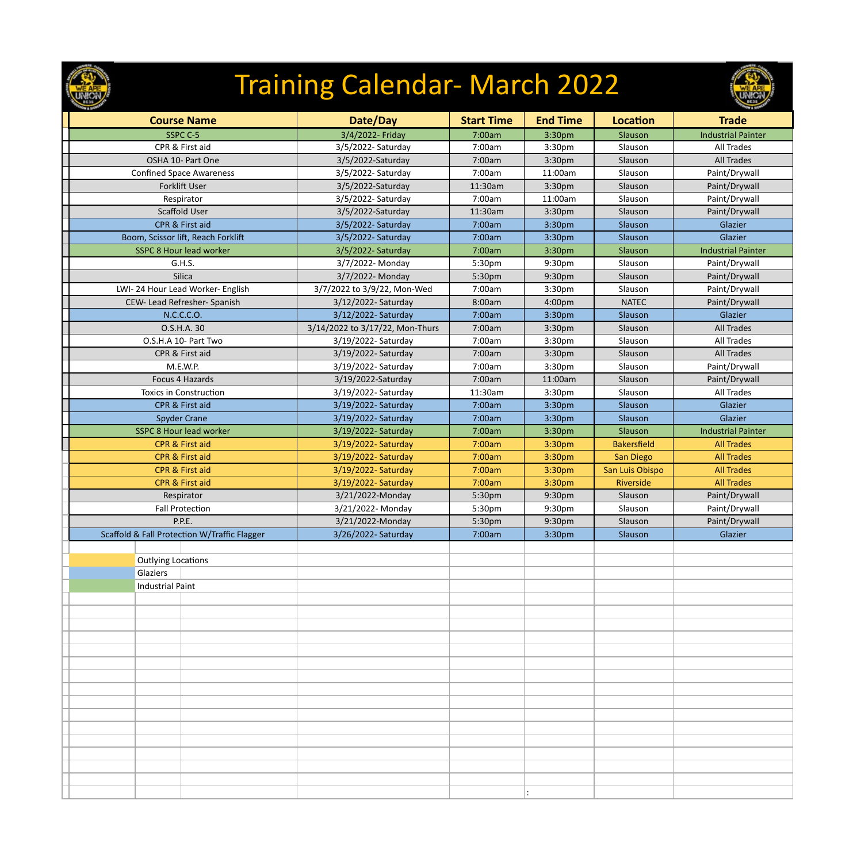

# Training Calendar- March 2022

| <b>Course Name</b>                           | Date/Day                        | <b>Start Time</b> | <b>End Time</b>    | Location           | <b>Trade</b>              |
|----------------------------------------------|---------------------------------|-------------------|--------------------|--------------------|---------------------------|
| SSPC C-5                                     | 3/4/2022- Friday                | 7:00am            | 3:30pm             | Slauson            | <b>Industrial Painter</b> |
| CPR & First aid                              | 3/5/2022- Saturday              | 7:00am            | 3:30pm             | Slauson            | <b>All Trades</b>         |
| OSHA 10- Part One                            | 3/5/2022-Saturday               | 7:00am            | 3:30 <sub>pm</sub> | Slauson            | <b>All Trades</b>         |
| <b>Confined Space Awareness</b>              | 3/5/2022- Saturday              | 7:00am            | 11:00am            | Slauson            | Paint/Drywall             |
| Forklift User                                | 3/5/2022-Saturday               | 11:30am           | 3:30 <sub>pm</sub> | Slauson            | Paint/Drywall             |
| Respirator                                   | 3/5/2022- Saturday              | 7:00am            | 11:00am            | Slauson            | Paint/Drywall             |
| Scaffold User                                | 3/5/2022-Saturday               | 11:30am           | 3:30 <sub>pm</sub> | Slauson            | Paint/Drywall             |
| CPR & First aid                              | 3/5/2022- Saturday              | 7:00am            | 3:30pm             | Slauson            | Glazier                   |
| Boom, Scissor lift, Reach Forklift           | 3/5/2022- Saturday              | 7:00am            | 3:30pm             | Slauson            | Glazier                   |
| <b>SSPC 8 Hour lead worker</b>               | 3/5/2022- Saturday              | 7:00am            | 3:30pm             | Slauson            | <b>Industrial Painter</b> |
| G.H.S.                                       | 3/7/2022- Monday                | 5:30pm            | 9:30pm             | Slauson            | Paint/Drywall             |
| Silica                                       | 3/7/2022- Monday                | 5:30pm            | 9:30pm             | Slauson            | Paint/Drywall             |
| LWI-24 Hour Lead Worker- English             | 3/7/2022 to 3/9/22, Mon-Wed     | 7:00am            | 3:30 <sub>pm</sub> | Slauson            | Paint/Drywall             |
| CEW- Lead Refresher- Spanish                 | 3/12/2022- Saturday             | 8:00am            | 4:00pm             | <b>NATEC</b>       | Paint/Drywall             |
| N.C.C.C.O.                                   | 3/12/2022- Saturday             | 7:00am            | 3:30pm             | Slauson            | Glazier                   |
| O.S.H.A. 30                                  | 3/14/2022 to 3/17/22, Mon-Thurs | 7:00am            | 3:30pm             | Slauson            | <b>All Trades</b>         |
| O.S.H.A 10- Part Two                         | 3/19/2022- Saturday             | 7:00am            | 3:30 <sub>pm</sub> | Slauson            | <b>All Trades</b>         |
| CPR & First aid                              | 3/19/2022- Saturday             | 7:00am            | 3:30 <sub>pm</sub> | Slauson            | <b>All Trades</b>         |
| M.E.W.P.                                     | 3/19/2022- Saturday             | 7:00am            | 3:30 <sub>pm</sub> | Slauson            | Paint/Drywall             |
| Focus 4 Hazards                              | 3/19/2022-Saturday              | 7:00am            | 11:00am            | Slauson            | Paint/Drywall             |
| <b>Toxics in Construction</b>                | 3/19/2022- Saturday             | 11:30am           | 3:30 <sub>pm</sub> | Slauson            | <b>All Trades</b>         |
| CPR & First aid                              | 3/19/2022- Saturday             | 7:00am            | 3:30pm             | Slauson            | Glazier                   |
| <b>Spyder Crane</b>                          | 3/19/2022- Saturday             | 7:00am            | 3:30pm             | Slauson            | Glazier                   |
| <b>SSPC 8 Hour lead worker</b>               | 3/19/2022- Saturday             | 7:00am            | 3:30pm             | Slauson            | <b>Industrial Painter</b> |
| <b>CPR &amp; First aid</b>                   | 3/19/2022- Saturday             | 7:00am            | 3:30pm             | <b>Bakersfield</b> | <b>All Trades</b>         |
| CPR & First aid                              | 3/19/2022- Saturday             | 7:00am            | 3:30pm             | San Diego          | <b>All Trades</b>         |
| CPR & First aid                              | 3/19/2022- Saturday             | 7:00am            | 3:30pm             | San Luis Obispo    | <b>All Trades</b>         |
| CPR & First aid                              | 3/19/2022- Saturday             | 7:00am            | 3:30pm             | Riverside          | <b>All Trades</b>         |
| Respirator                                   | 3/21/2022-Monday                | 5:30pm            | 9:30pm             | Slauson            | Paint/Drywall             |
| <b>Fall Protection</b>                       | 3/21/2022- Monday               | 5:30pm            | 9:30pm             | Slauson            | Paint/Drywall             |
| P.P.E.                                       | 3/21/2022-Monday                | 5:30pm            | 9:30pm             | Slauson            | Paint/Drywall             |
| Scaffold & Fall Protection W/Traffic Flagger | 3/26/2022- Saturday             | 7:00am            | 3:30pm             | Slauson            | Glazier                   |
|                                              |                                 |                   |                    |                    |                           |
| <b>Outlying Locations</b>                    |                                 |                   |                    |                    |                           |
| Glaziers                                     |                                 |                   |                    |                    |                           |
| <b>Industrial Paint</b>                      |                                 |                   |                    |                    |                           |
|                                              |                                 |                   |                    |                    |                           |
|                                              |                                 |                   |                    |                    |                           |
|                                              |                                 |                   |                    |                    |                           |
|                                              |                                 |                   |                    |                    |                           |
|                                              |                                 |                   |                    |                    |                           |
|                                              |                                 |                   |                    |                    |                           |
|                                              |                                 |                   |                    |                    |                           |
|                                              |                                 |                   |                    |                    |                           |
|                                              |                                 |                   |                    |                    |                           |
|                                              |                                 |                   |                    |                    |                           |
|                                              |                                 |                   |                    |                    |                           |
|                                              |                                 |                   |                    |                    |                           |
|                                              |                                 |                   |                    |                    |                           |
|                                              |                                 |                   |                    |                    |                           |
|                                              |                                 |                   |                    |                    |                           |
|                                              |                                 |                   |                    |                    |                           |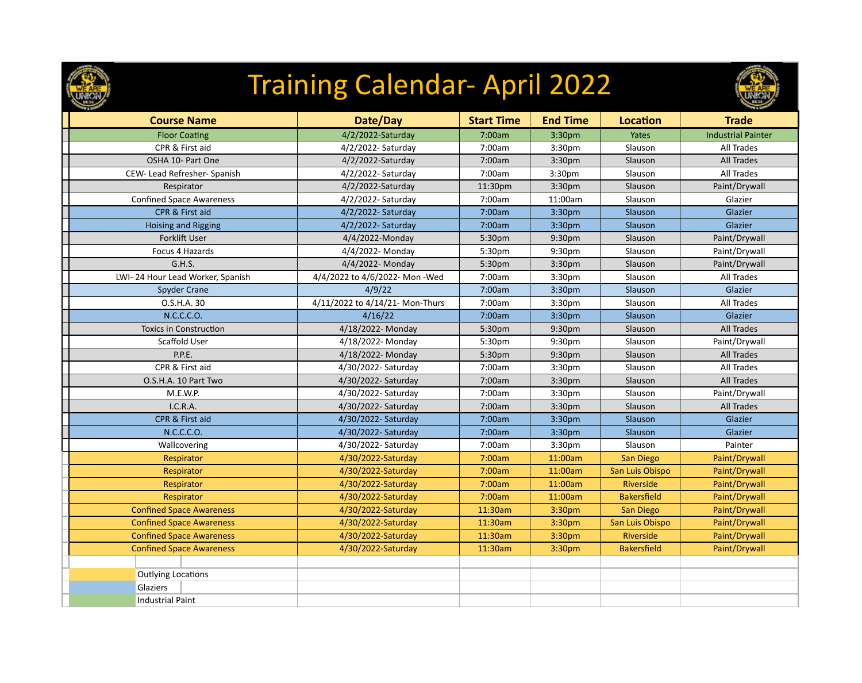

## Training Calendar- April 2022



| <b>Course Name</b>               | Date/Day                        | <b>Start Time</b> | <b>End Time</b>    | <b>Location</b>    | <b>Trade</b>              |
|----------------------------------|---------------------------------|-------------------|--------------------|--------------------|---------------------------|
| <b>Floor Coating</b>             | 4/2/2022-Saturday               | 7:00am            | 3:30pm             | Yates              | <b>Industrial Painter</b> |
| CPR & First aid                  | 4/2/2022- Saturday              | 7:00am            | 3:30pm             | Slauson            | All Trades                |
| OSHA 10- Part One                | 4/2/2022-Saturday               | 7:00am            | 3:30pm             | Slauson            | <b>All Trades</b>         |
| CEW- Lead Refresher- Spanish     | 4/2/2022- Saturday              | 7:00am            | 3:30pm             | Slauson            | <b>All Trades</b>         |
| Respirator                       | 4/2/2022-Saturday               | 11:30pm           | 3:30pm             | Slauson            | Paint/Drywall             |
| <b>Confined Space Awareness</b>  | 4/2/2022- Saturday              | 7:00am            | 11:00am            | Slauson            | Glazier                   |
| CPR & First aid                  | 4/2/2022- Saturday              | 7:00am            | 3:30pm             | Slauson            | Glazier                   |
| <b>Hoising and Rigging</b>       | 4/2/2022- Saturday              | 7:00am            | 3:30pm             | Slauson            | Glazier                   |
| Forklift User                    | 4/4/2022-Monday                 | 5:30pm            | 9:30pm             | Slauson            | Paint/Drywall             |
| Focus 4 Hazards                  | 4/4/2022- Monday                | 5:30pm            | 9:30pm             | Slauson            | Paint/Drywall             |
| G.H.S.                           | 4/4/2022- Monday                | 5:30pm            | 3:30pm             | Slauson            | Paint/Drywall             |
| LWI-24 Hour Lead Worker, Spanish | 4/4/2022 to 4/6/2022- Mon-Wed   | 7:00am            | 3:30pm             | Slauson            | <b>All Trades</b>         |
| <b>Spyder Crane</b>              | 4/9/22                          | 7:00am            | 3:30pm             | Slauson            | Glazier                   |
| O.S.H.A. 30                      | 4/11/2022 to 4/14/21- Mon-Thurs | 7:00am            | 3:30pm             | Slauson            | <b>All Trades</b>         |
| N.C.C.C.O.                       | 4/16/22                         | 7:00am            | 3:30pm             | Slauson            | Glazier                   |
| <b>Toxics in Construction</b>    | 4/18/2022- Monday               | 5:30pm            | 9:30pm             | Slauson            | <b>All Trades</b>         |
| Scaffold User                    | 4/18/2022- Monday               | 5:30pm            | 9:30pm             | Slauson            | Paint/Drywall             |
| P.P.E.                           | 4/18/2022- Monday               | 5:30pm            | 9:30pm             | Slauson            | <b>All Trades</b>         |
| CPR & First aid                  | 4/30/2022- Saturday             | 7:00am            | 3:30pm             | Slauson            | All Trades                |
| O.S.H.A. 10 Part Two             | 4/30/2022- Saturday             | 7:00am            | 3:30pm             | Slauson            | <b>All Trades</b>         |
| M.E.W.P.                         | 4/30/2022- Saturday             | 7:00am            | 3:30pm             | Slauson            | Paint/Drywall             |
| I.C.R.A.                         | 4/30/2022- Saturday             | 7:00am            | 3:30pm             | Slauson            | <b>All Trades</b>         |
| CPR & First aid                  | 4/30/2022- Saturday             | 7:00am            | 3:30 <sub>pm</sub> | Slauson            | Glazier                   |
| N.C.C.C.O.                       | 4/30/2022- Saturday             | 7:00am            | 3:30pm             | Slauson            | Glazier                   |
| Wallcovering                     | 4/30/2022- Saturday             | 7:00am            | 3:30pm             | Slauson            | Painter                   |
| Respirator                       | 4/30/2022-Saturday              | 7:00am            | 11:00am            | San Diego          | Paint/Drywall             |
| Respirator                       | 4/30/2022-Saturday              | 7:00am            | 11:00am            | San Luis Obispo    | Paint/Drywall             |
| Respirator                       | 4/30/2022-Saturday              | 7:00am            | 11:00am            | Riverside          | Paint/Drywall             |
| Respirator                       | 4/30/2022-Saturday              | 7:00am            | 11:00am            | <b>Bakersfield</b> | Paint/Drywall             |
| <b>Confined Space Awareness</b>  | 4/30/2022-Saturday              | 11:30am           | 3:30pm             | San Diego          | Paint/Drywall             |
| <b>Confined Space Awareness</b>  | 4/30/2022-Saturday              | 11:30am           | 3:30pm             | San Luis Obispo    | Paint/Drywall             |
| <b>Confined Space Awareness</b>  | 4/30/2022-Saturday              | 11:30am           | 3:30pm             | Riverside          | Paint/Drywall             |
| <b>Confined Space Awareness</b>  | 4/30/2022-Saturday              | 11:30am           | 3:30pm             | <b>Bakersfield</b> | Paint/Drywall             |
|                                  |                                 |                   |                    |                    |                           |
| <b>Outlying Locations</b>        |                                 |                   |                    |                    |                           |
| Glaziers                         |                                 |                   |                    |                    |                           |
| <b>Industrial Paint</b>          |                                 |                   |                    |                    |                           |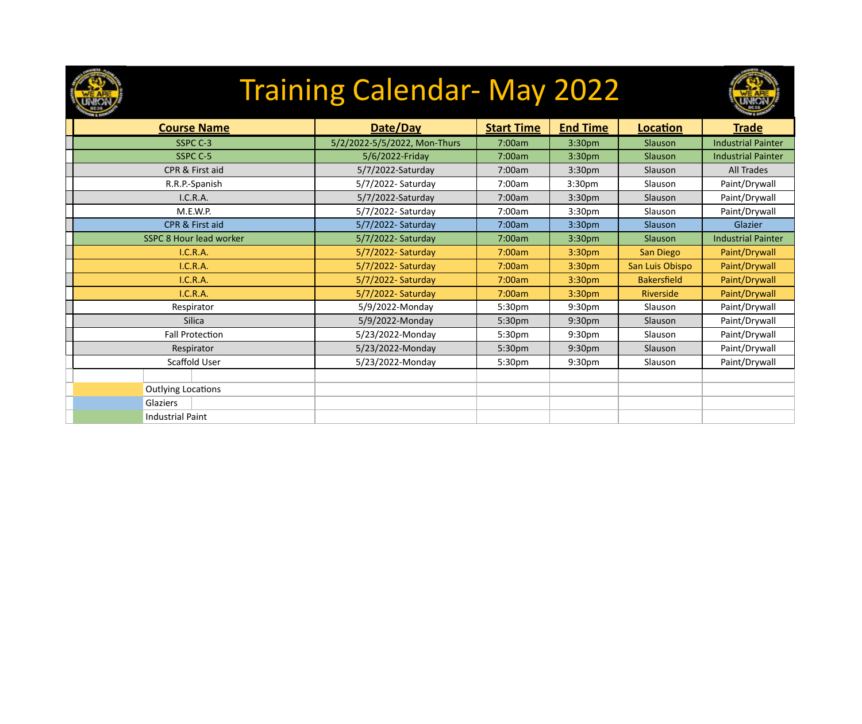

### Training Calendar- May 2022



| <b>Course Name</b>             | Date/Day                     | <b>Start Time</b> | <b>End Time</b>    | Location           | <b>Trade</b>              |
|--------------------------------|------------------------------|-------------------|--------------------|--------------------|---------------------------|
| SSPC C-3                       | 5/2/2022-5/5/2022, Mon-Thurs | 7:00am            | 3:30pm             | Slauson            | <b>Industrial Painter</b> |
| SSPC C-5                       | 5/6/2022-Friday              | 7:00am            | 3:30pm             | Slauson            | <b>Industrial Painter</b> |
| CPR & First aid                | 5/7/2022-Saturday            | 7:00am            | 3:30 <sub>pm</sub> | Slauson            | All Trades                |
| R.R.P.-Spanish                 | 5/7/2022- Saturday           | 7:00am            | 3:30 <sub>pm</sub> | Slauson            | Paint/Drywall             |
| I.C.R.A.                       | 5/7/2022-Saturday            | 7:00am            | 3:30 <sub>pm</sub> | Slauson            | Paint/Drywall             |
| M.E.W.P.                       | 5/7/2022- Saturday           | 7:00am            | 3:30 <sub>pm</sub> | Slauson            | Paint/Drywall             |
| CPR & First aid                | 5/7/2022- Saturday           | 7:00am            | 3:30pm             | Slauson            | Glazier                   |
| <b>SSPC 8 Hour lead worker</b> | 5/7/2022- Saturday           | 7:00am            | 3:30pm             | Slauson            | <b>Industrial Painter</b> |
| I.C.R.A.                       | 5/7/2022- Saturday           | 7:00am            | 3:30 <sub>pm</sub> | San Diego          | Paint/Drywall             |
| <b>I.C.R.A.</b>                | 5/7/2022- Saturday           | 7:00am            | 3:30 <sub>pm</sub> | San Luis Obispo    | Paint/Drywall             |
| I.C.R.A.                       | 5/7/2022- Saturday           | 7:00am            | 3:30pm             | <b>Bakersfield</b> | Paint/Drywall             |
| I.C.R.A.                       | 5/7/2022- Saturday           | 7:00am            | 3:30 <sub>pm</sub> | Riverside          | Paint/Drywall             |
| Respirator                     | 5/9/2022-Monday              | 5:30pm            | 9:30 <sub>pm</sub> | Slauson            | Paint/Drywall             |
| Silica                         | 5/9/2022-Monday              | 5:30pm            | 9:30pm             | Slauson            | Paint/Drywall             |
| <b>Fall Protection</b>         | 5/23/2022-Monday             | 5:30pm            | 9:30pm             | Slauson            | Paint/Drywall             |
| Respirator                     | 5/23/2022-Monday             | 5:30pm            | 9:30pm             | Slauson            | Paint/Drywall             |
| Scaffold User                  | 5/23/2022-Monday             | 5:30pm            | 9:30pm             | Slauson            | Paint/Drywall             |
|                                |                              |                   |                    |                    |                           |
| <b>Outlying Locations</b>      |                              |                   |                    |                    |                           |
| Glaziers                       |                              |                   |                    |                    |                           |
| <b>Industrial Paint</b>        |                              |                   |                    |                    |                           |